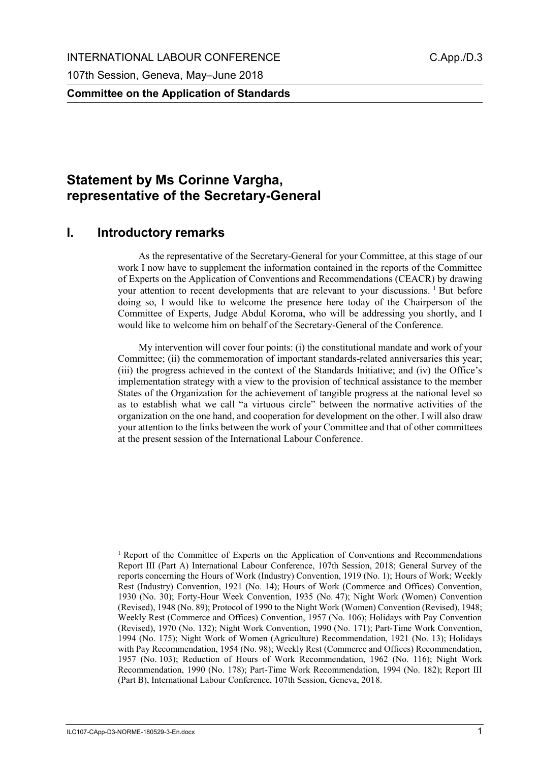**Committee on the Application of Standards**

# **Statement by Ms Corinne Vargha, representative of the Secretary-General**

### **I. Introductory remarks**

As the representative of the Secretary-General for your Committee, at this stage of our work I now have to supplement the information contained in the reports of the Committee of Experts on the Application of Conventions and Recommendations (CEACR) by drawing your attention to recent developments that are relevant to your discussions. <sup>1</sup> But before doing so, I would like to welcome the presence here today of the Chairperson of the Committee of Experts, Judge Abdul Koroma, who will be addressing you shortly, and I would like to welcome him on behalf of the Secretary-General of the Conference.

My intervention will cover four points: (i) the constitutional mandate and work of your Committee; (ii) the commemoration of important standards-related anniversaries this year; (iii) the progress achieved in the context of the Standards Initiative; and (iv) the Office's implementation strategy with a view to the provision of technical assistance to the member States of the Organization for the achievement of tangible progress at the national level so as to establish what we call "a virtuous circle" between the normative activities of the organization on the one hand, and cooperation for development on the other. I will also draw your attention to the links between the work of your Committee and that of other committees at the present session of the International Labour Conference.

<sup>1</sup> Report of the Committee of Experts on the Application of Conventions and Recommendations Report III (Part A) International Labour Conference, 107th Session, 2018; General Survey of the reports concerning the Hours of Work (Industry) Convention, 1919 (No. 1); Hours of Work; Weekly Rest (Industry) Convention, 1921 (No. 14); Hours of Work (Commerce and Offices) Convention, 1930 (No. 30); Forty-Hour Week Convention, 1935 (No. 47); Night Work (Women) Convention (Revised), 1948 (No. 89); Protocol of 1990 to the Night Work (Women) Convention (Revised), 1948; Weekly Rest (Commerce and Offices) Convention, 1957 (No. 106); Holidays with Pay Convention (Revised), 1970 (No. 132); Night Work Convention, 1990 (No. 171); Part-Time Work Convention, 1994 (No. 175); Night Work of Women (Agriculture) Recommendation, 1921 (No. 13); Holidays with Pay Recommendation, 1954 (No. 98); Weekly Rest (Commerce and Offices) Recommendation, 1957 (No. 103); Reduction of Hours of Work Recommendation, 1962 (No. 116); Night Work Recommendation, 1990 (No. 178); Part-Time Work Recommendation, 1994 (No. 182); Report III (Part B), International Labour Conference, 107th Session, Geneva, 2018.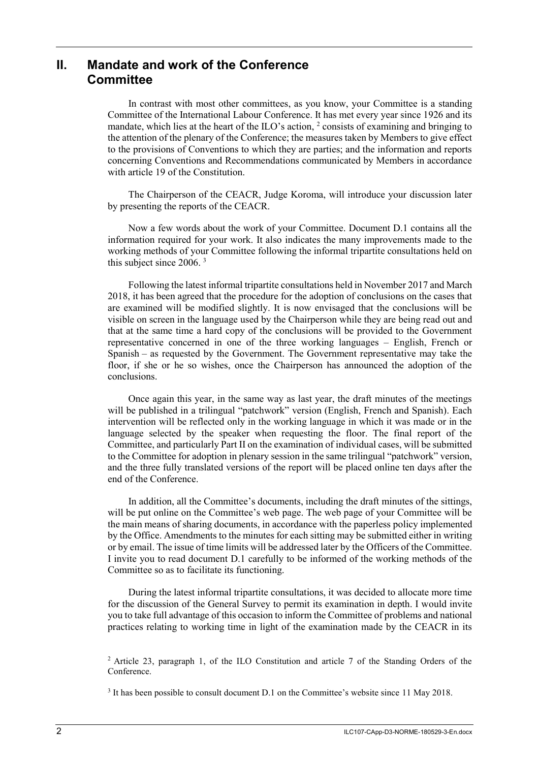## **II. Mandate and work of the Conference Committee**

In contrast with most other committees, as you know, your Committee is a standing Committee of the International Labour Conference. It has met every year since 1926 and its mandate, which lies at the heart of the ILO's action, <sup>2</sup> consists of examining and bringing to the attention of the plenary of the Conference; the measures taken by Members to give effect to the provisions of Conventions to which they are parties; and the information and reports concerning Conventions and Recommendations communicated by Members in accordance with article 19 of the Constitution.

The Chairperson of the CEACR, Judge Koroma, will introduce your discussion later by presenting the reports of the CEACR.

Now a few words about the work of your Committee. Document D.1 contains all the information required for your work. It also indicates the many improvements made to the working methods of your Committee following the informal tripartite consultations held on this subject since 2006. <sup>3</sup>

Following the latest informal tripartite consultations held in November 2017 and March 2018, it has been agreed that the procedure for the adoption of conclusions on the cases that are examined will be modified slightly. It is now envisaged that the conclusions will be visible on screen in the language used by the Chairperson while they are being read out and that at the same time a hard copy of the conclusions will be provided to the Government representative concerned in one of the three working languages – English, French or Spanish – as requested by the Government. The Government representative may take the floor, if she or he so wishes, once the Chairperson has announced the adoption of the conclusions.

Once again this year, in the same way as last year, the draft minutes of the meetings will be published in a trilingual "patchwork" version (English, French and Spanish). Each intervention will be reflected only in the working language in which it was made or in the language selected by the speaker when requesting the floor. The final report of the Committee, and particularly Part II on the examination of individual cases, will be submitted to the Committee for adoption in plenary session in the same trilingual "patchwork" version, and the three fully translated versions of the report will be placed online ten days after the end of the Conference.

In addition, all the Committee's documents, including the draft minutes of the sittings, will be put online on the Committee's web page. The web page of your Committee will be the main means of sharing documents, in accordance with the paperless policy implemented by the Office. Amendments to the minutes for each sitting may be submitted either in writing or by email. The issue of time limits will be addressed later by the Officers of the Committee. I invite you to read document D.1 carefully to be informed of the working methods of the Committee so as to facilitate its functioning.

During the latest informal tripartite consultations, it was decided to allocate more time for the discussion of the General Survey to permit its examination in depth. I would invite you to take full advantage of this occasion to inform the Committee of problems and national practices relating to working time in light of the examination made by the CEACR in its

<sup>&</sup>lt;sup>2</sup> Article 23, paragraph 1, of the ILO Constitution and article 7 of the Standing Orders of the Conference.

<sup>&</sup>lt;sup>3</sup> It has been possible to consult document D.1 on the Committee's website since 11 May 2018.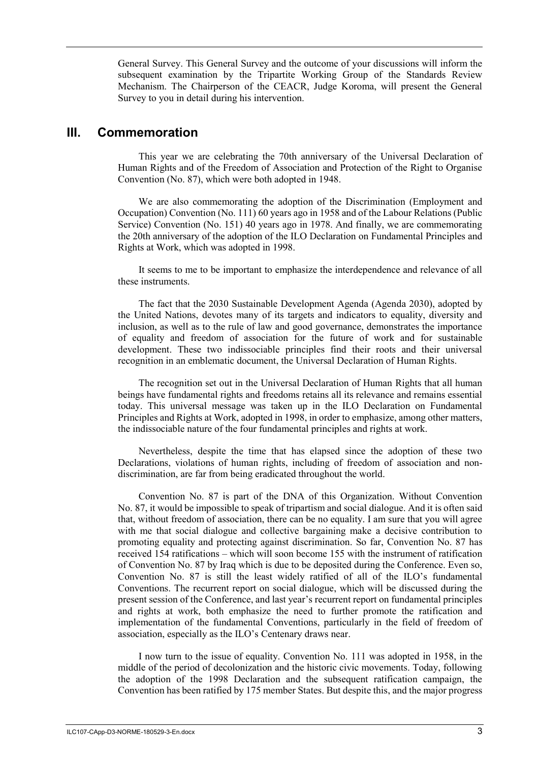General Survey. This General Survey and the outcome of your discussions will inform the subsequent examination by the Tripartite Working Group of the Standards Review Mechanism. The Chairperson of the CEACR, Judge Koroma, will present the General Survey to you in detail during his intervention.

#### **III. Commemoration**

This year we are celebrating the 70th anniversary of the Universal Declaration of Human Rights and of the Freedom of Association and Protection of the Right to Organise Convention (No. 87), which were both adopted in 1948.

We are also commemorating the adoption of the Discrimination (Employment and Occupation) Convention (No. 111) 60 years ago in 1958 and of the Labour Relations (Public Service) Convention (No. 151) 40 years ago in 1978. And finally, we are commemorating the 20th anniversary of the adoption of the ILO Declaration on Fundamental Principles and Rights at Work, which was adopted in 1998.

It seems to me to be important to emphasize the interdependence and relevance of all these instruments.

The fact that the 2030 Sustainable Development Agenda (Agenda 2030), adopted by the United Nations, devotes many of its targets and indicators to equality, diversity and inclusion, as well as to the rule of law and good governance, demonstrates the importance of equality and freedom of association for the future of work and for sustainable development. These two indissociable principles find their roots and their universal recognition in an emblematic document, the Universal Declaration of Human Rights.

The recognition set out in the Universal Declaration of Human Rights that all human beings have fundamental rights and freedoms retains all its relevance and remains essential today. This universal message was taken up in the ILO Declaration on Fundamental Principles and Rights at Work, adopted in 1998, in order to emphasize, among other matters, the indissociable nature of the four fundamental principles and rights at work.

Nevertheless, despite the time that has elapsed since the adoption of these two Declarations, violations of human rights, including of freedom of association and nondiscrimination, are far from being eradicated throughout the world.

Convention No. 87 is part of the DNA of this Organization. Without Convention No. 87, it would be impossible to speak of tripartism and social dialogue. And it is often said that, without freedom of association, there can be no equality. I am sure that you will agree with me that social dialogue and collective bargaining make a decisive contribution to promoting equality and protecting against discrimination. So far, Convention No. 87 has received 154 ratifications – which will soon become 155 with the instrument of ratification of Convention No. 87 by Iraq which is due to be deposited during the Conference. Even so, Convention No. 87 is still the least widely ratified of all of the ILO's fundamental Conventions. The recurrent report on social dialogue, which will be discussed during the present session of the Conference, and last year's recurrent report on fundamental principles and rights at work, both emphasize the need to further promote the ratification and implementation of the fundamental Conventions, particularly in the field of freedom of association, especially as the ILO's Centenary draws near.

I now turn to the issue of equality. Convention No. 111 was adopted in 1958, in the middle of the period of decolonization and the historic civic movements. Today, following the adoption of the 1998 Declaration and the subsequent ratification campaign, the Convention has been ratified by 175 member States. But despite this, and the major progress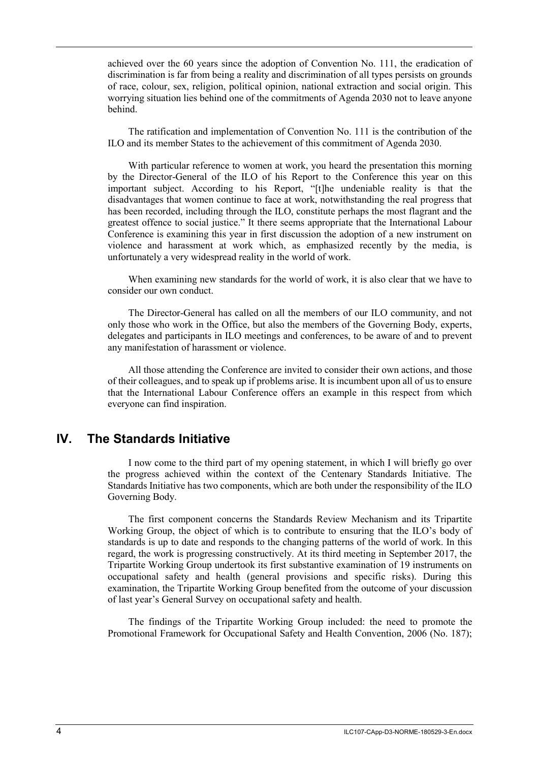achieved over the 60 years since the adoption of Convention No. 111, the eradication of discrimination is far from being a reality and discrimination of all types persists on grounds of race, colour, sex, religion, political opinion, national extraction and social origin. This worrying situation lies behind one of the commitments of Agenda 2030 not to leave anyone behind.

The ratification and implementation of Convention No. 111 is the contribution of the ILO and its member States to the achievement of this commitment of Agenda 2030.

With particular reference to women at work, you heard the presentation this morning by the Director-General of the ILO of his Report to the Conference this year on this important subject. According to his Report, "[t]he undeniable reality is that the disadvantages that women continue to face at work, notwithstanding the real progress that has been recorded, including through the ILO, constitute perhaps the most flagrant and the greatest offence to social justice." It there seems appropriate that the International Labour Conference is examining this year in first discussion the adoption of a new instrument on violence and harassment at work which, as emphasized recently by the media, is unfortunately a very widespread reality in the world of work.

When examining new standards for the world of work, it is also clear that we have to consider our own conduct.

The Director-General has called on all the members of our ILO community, and not only those who work in the Office, but also the members of the Governing Body, experts, delegates and participants in ILO meetings and conferences, to be aware of and to prevent any manifestation of harassment or violence.

All those attending the Conference are invited to consider their own actions, and those of their colleagues, and to speak up if problems arise. It is incumbent upon all of us to ensure that the International Labour Conference offers an example in this respect from which everyone can find inspiration.

#### **IV. The Standards Initiative**

I now come to the third part of my opening statement, in which I will briefly go over the progress achieved within the context of the Centenary Standards Initiative. The Standards Initiative has two components, which are both under the responsibility of the ILO Governing Body.

The first component concerns the Standards Review Mechanism and its Tripartite Working Group, the object of which is to contribute to ensuring that the ILO's body of standards is up to date and responds to the changing patterns of the world of work. In this regard, the work is progressing constructively. At its third meeting in September 2017, the Tripartite Working Group undertook its first substantive examination of 19 instruments on occupational safety and health (general provisions and specific risks). During this examination, the Tripartite Working Group benefited from the outcome of your discussion of last year's General Survey on occupational safety and health.

The findings of the Tripartite Working Group included: the need to promote the Promotional Framework for Occupational Safety and Health Convention, 2006 (No. 187);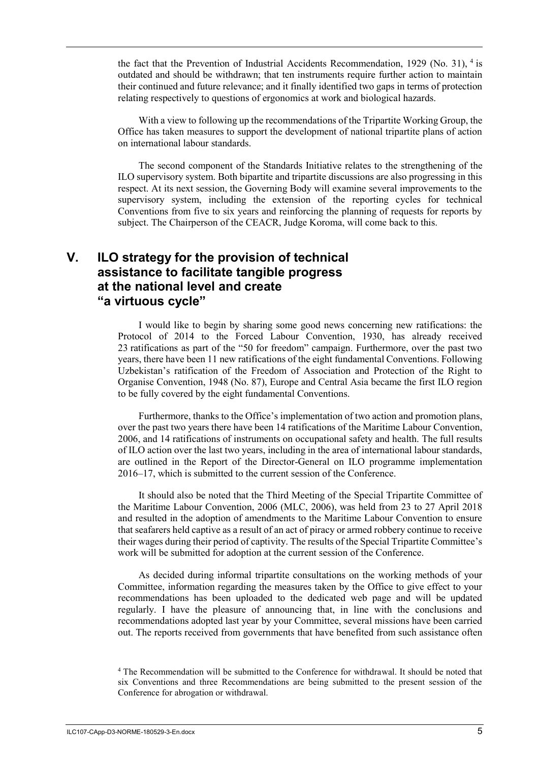the fact that the Prevention of Industrial Accidents Recommendation, 1929 (No. 31),  $4$  is outdated and should be withdrawn; that ten instruments require further action to maintain their continued and future relevance; and it finally identified two gaps in terms of protection relating respectively to questions of ergonomics at work and biological hazards.

With a view to following up the recommendations of the Tripartite Working Group, the Office has taken measures to support the development of national tripartite plans of action on international labour standards.

The second component of the Standards Initiative relates to the strengthening of the ILO supervisory system. Both bipartite and tripartite discussions are also progressing in this respect. At its next session, the Governing Body will examine several improvements to the supervisory system, including the extension of the reporting cycles for technical Conventions from five to six years and reinforcing the planning of requests for reports by subject. The Chairperson of the CEACR, Judge Koroma, will come back to this.

## **V. ILO strategy for the provision of technical assistance to facilitate tangible progress at the national level and create "a virtuous cycle"**

I would like to begin by sharing some good news concerning new ratifications: the Protocol of 2014 to the Forced Labour Convention, 1930, has already received 23 ratifications as part of the "50 for freedom" campaign. Furthermore, over the past two years, there have been 11 new ratifications of the eight fundamental Conventions. Following Uzbekistan's ratification of the Freedom of Association and Protection of the Right to Organise Convention, 1948 (No. 87), Europe and Central Asia became the first ILO region to be fully covered by the eight fundamental Conventions.

Furthermore, thanks to the Office's implementation of two action and promotion plans, over the past two years there have been 14 ratifications of the Maritime Labour Convention, 2006, and 14 ratifications of instruments on occupational safety and health. The full results of ILO action over the last two years, including in the area of international labour standards, are outlined in the Report of the Director-General on ILO programme implementation 2016–17, which is submitted to the current session of the Conference.

It should also be noted that the Third Meeting of the Special Tripartite Committee of the Maritime Labour Convention, 2006 (MLC, 2006), was held from 23 to 27 April 2018 and resulted in the adoption of amendments to the Maritime Labour Convention to ensure that seafarers held captive as a result of an act of piracy or armed robbery continue to receive their wages during their period of captivity. The results of the Special Tripartite Committee's work will be submitted for adoption at the current session of the Conference.

As decided during informal tripartite consultations on the working methods of your Committee, information regarding the measures taken by the Office to give effect to your recommendations has been uploaded to the dedicated web page and will be updated regularly. I have the pleasure of announcing that, in line with the conclusions and recommendations adopted last year by your Committee, several missions have been carried out. The reports received from governments that have benefited from such assistance often

<sup>4</sup> The Recommendation will be submitted to the Conference for withdrawal. It should be noted that six Conventions and three Recommendations are being submitted to the present session of the Conference for abrogation or withdrawal.